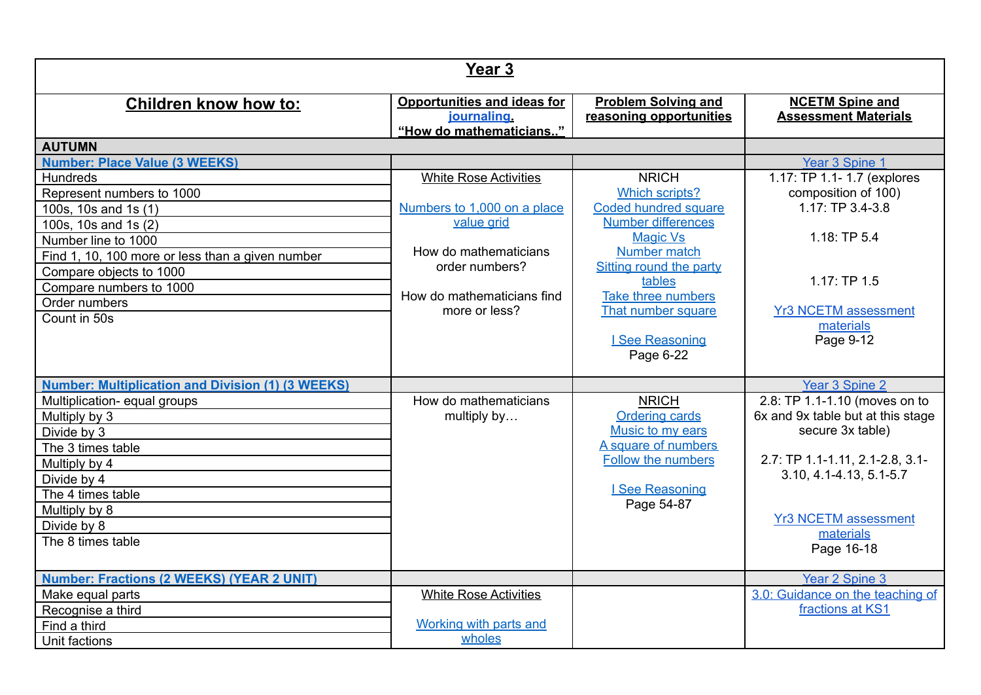| Year <sub>3</sub>                                        |                                                                                    |                                                       |                                                       |
|----------------------------------------------------------|------------------------------------------------------------------------------------|-------------------------------------------------------|-------------------------------------------------------|
| <b>Children know how to:</b>                             | <b>Opportunities and ideas for</b><br><i>journaling</i><br>"How do mathematicians" | <b>Problem Solving and</b><br>reasoning opportunities | <b>NCETM Spine and</b><br><b>Assessment Materials</b> |
| <b>AUTUMN</b>                                            |                                                                                    |                                                       |                                                       |
| <b>Number: Place Value (3 WEEKS)</b>                     |                                                                                    |                                                       | Year 3 Spine 1                                        |
| <b>Hundreds</b>                                          | <b>White Rose Activities</b>                                                       | <b>NRICH</b>                                          | 1.17: TP 1.1- 1.7 (explores                           |
| Represent numbers to 1000                                |                                                                                    | <b>Which scripts?</b>                                 | composition of 100)                                   |
| 100s, 10s and 1s (1)                                     | Numbers to 1,000 on a place                                                        | Coded hundred square                                  | 1.17: TP 3.4-3.8                                      |
| 100s, 10s and 1s (2)                                     | value grid                                                                         | <b>Number differences</b>                             |                                                       |
| Number line to 1000                                      |                                                                                    | <b>Magic Vs</b>                                       | 1.18:TP 5.4                                           |
| Find 1, 10, 100 more or less than a given number         | How do mathematicians                                                              | Number match                                          |                                                       |
| Compare objects to 1000                                  | order numbers?                                                                     | Sitting round the party                               |                                                       |
| Compare numbers to 1000                                  | How do mathematicians find                                                         | tables<br>Take three numbers                          | 1.17:TP 1.5                                           |
| Order numbers                                            | more or less?                                                                      | That number square                                    | <b>Yr3 NCETM assessment</b>                           |
| Count in 50s                                             |                                                                                    |                                                       | materials                                             |
|                                                          |                                                                                    | I See Reasoning                                       | Page 9-12                                             |
|                                                          |                                                                                    | Page 6-22                                             |                                                       |
|                                                          |                                                                                    |                                                       |                                                       |
| <b>Number: Multiplication and Division (1) (3 WEEKS)</b> |                                                                                    |                                                       | Year 3 Spine 2                                        |
| Multiplication- equal groups                             | How do mathematicians                                                              | <b>NRICH</b>                                          | 2.8: TP 1.1-1.10 (moves on to                         |
| Multiply by 3                                            | multiply by                                                                        | <b>Ordering cards</b>                                 | 6x and 9x table but at this stage                     |
| Divide by 3                                              |                                                                                    | Music to my ears                                      | secure 3x table)                                      |
| The 3 times table                                        |                                                                                    | A square of numbers                                   |                                                       |
| Multiply by 4                                            |                                                                                    | <b>Follow the numbers</b>                             | 2.7: TP 1.1-1.11, 2.1-2.8, 3.1-                       |
| Divide by 4                                              |                                                                                    |                                                       | 3.10, 4.1-4.13, 5.1-5.7                               |
| The 4 times table                                        |                                                                                    | I See Reasoning                                       |                                                       |
| Multiply by 8                                            |                                                                                    | Page 54-87                                            | <b>Yr3 NCETM assessment</b>                           |
| Divide by 8                                              |                                                                                    |                                                       | materials                                             |
| The 8 times table                                        |                                                                                    |                                                       | Page 16-18                                            |
|                                                          |                                                                                    |                                                       |                                                       |
| <b>Number: Fractions (2 WEEKS) (YEAR 2 UNIT)</b>         |                                                                                    |                                                       | <b>Year 2 Spine 3</b>                                 |
| Make equal parts                                         | <b>White Rose Activities</b>                                                       |                                                       | 3.0: Guidance on the teaching of                      |
| Recognise a third                                        |                                                                                    |                                                       | fractions at KS1                                      |
| Find a third                                             | Working with parts and                                                             |                                                       |                                                       |
| Unit factions                                            | wholes                                                                             |                                                       |                                                       |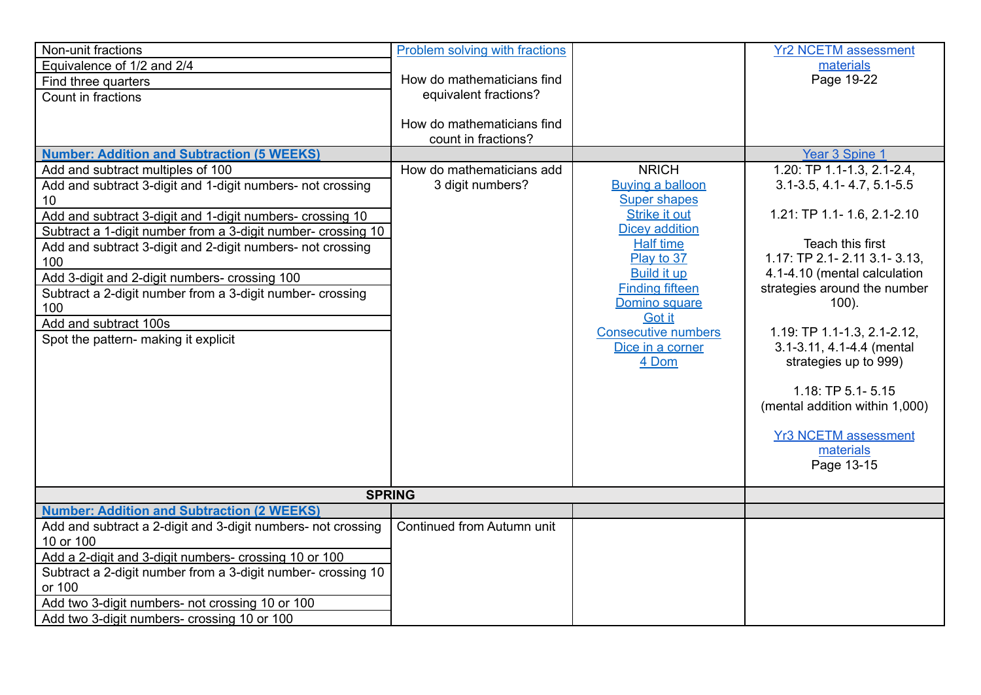| Non-unit fractions<br>Equivalence of 1/2 and 2/4<br>Find three quarters<br>Count in fractions<br><b>Number: Addition and Subtraction (5 WEEKS)</b><br>Add and subtract multiples of 100<br>Add and subtract 3-digit and 1-digit numbers- not crossing<br>10<br>Add and subtract 3-digit and 1-digit numbers- crossing 10<br>Subtract a 1-digit number from a 3-digit number- crossing 10 | Problem solving with fractions<br>How do mathematicians find<br>equivalent fractions?<br>How do mathematicians find<br>count in fractions?<br>How do mathematicians add<br>3 digit numbers? | <b>NRICH</b><br><b>Buying a balloon</b><br><b>Super shapes</b><br><b>Strike it out</b><br><b>Dicey addition</b><br><b>Half time</b>              | <b>Yr2 NCETM assessment</b><br>materials<br>Page 19-22<br>Year 3 Spine 1<br>1.20: TP 1.1-1.3, 2.1-2.4,<br>$3.1 - 3.5$ , 4.1 - 4.7, 5.1 - 5.5<br>1.21: TP 1.1- 1.6, 2.1-2.10<br>Teach this first                                                                                                                        |
|------------------------------------------------------------------------------------------------------------------------------------------------------------------------------------------------------------------------------------------------------------------------------------------------------------------------------------------------------------------------------------------|---------------------------------------------------------------------------------------------------------------------------------------------------------------------------------------------|--------------------------------------------------------------------------------------------------------------------------------------------------|------------------------------------------------------------------------------------------------------------------------------------------------------------------------------------------------------------------------------------------------------------------------------------------------------------------------|
| Add and subtract 3-digit and 2-digit numbers- not crossing<br>100<br>Add 3-digit and 2-digit numbers- crossing 100<br>Subtract a 2-digit number from a 3-digit number- crossing<br>100<br>Add and subtract 100s<br>Spot the pattern- making it explicit                                                                                                                                  |                                                                                                                                                                                             | Play to 37<br><b>Build it up</b><br><b>Finding fifteen</b><br>Domino square<br>Got it<br><b>Consecutive numbers</b><br>Dice in a corner<br>4 Dom | 1.17: TP 2.1- 2.11 3.1- 3.13,<br>4.1-4.10 (mental calculation<br>strategies around the number<br>$100$ ).<br>1.19: TP 1.1-1.3, 2.1-2.12,<br>3.1-3.11, 4.1-4.4 (mental<br>strategies up to 999)<br>$1.18$ : TP $5.1 - 5.15$<br>(mental addition within 1,000)<br><b>Yr3 NCETM assessment</b><br>materials<br>Page 13-15 |
| <b>SPRING</b>                                                                                                                                                                                                                                                                                                                                                                            |                                                                                                                                                                                             |                                                                                                                                                  |                                                                                                                                                                                                                                                                                                                        |
| <b>Number: Addition and Subtraction (2 WEEKS)</b>                                                                                                                                                                                                                                                                                                                                        |                                                                                                                                                                                             |                                                                                                                                                  |                                                                                                                                                                                                                                                                                                                        |
| Add and subtract a 2-digit and 3-digit numbers- not crossing<br>10 or 100<br>Add a 2-digit and 3-digit numbers- crossing 10 or 100<br>Subtract a 2-digit number from a 3-digit number- crossing 10<br>or 100                                                                                                                                                                             | Continued from Autumn unit                                                                                                                                                                  |                                                                                                                                                  |                                                                                                                                                                                                                                                                                                                        |
| Add two 3-digit numbers- not crossing 10 or 100<br>Add two 3-digit numbers- crossing 10 or 100                                                                                                                                                                                                                                                                                           |                                                                                                                                                                                             |                                                                                                                                                  |                                                                                                                                                                                                                                                                                                                        |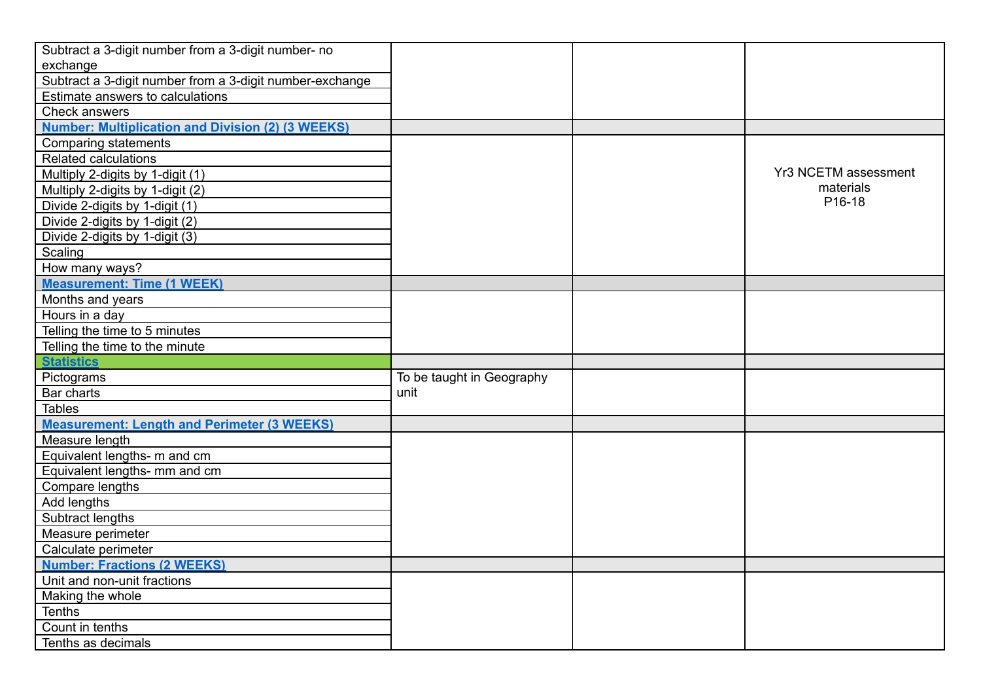| Subtract a 3-digit number from a 3-digit number- no      |                           |                      |
|----------------------------------------------------------|---------------------------|----------------------|
| exchange                                                 |                           |                      |
| Subtract a 3-digit number from a 3-digit number-exchange |                           |                      |
| Estimate answers to calculations                         |                           |                      |
| Check answers                                            |                           |                      |
| <b>Number: Multiplication and Division (2) (3 WEEKS)</b> |                           |                      |
| Comparing statements                                     |                           |                      |
| <b>Related calculations</b>                              |                           |                      |
| Multiply 2-digits by 1-digit (1)                         |                           | Yr3 NCETM assessment |
| Multiply 2-digits by 1-digit (2)                         |                           | materials            |
| Divide 2-digits by 1-digit (1)                           |                           | P16-18               |
| Divide 2-digits by 1-digit (2)                           |                           |                      |
| Divide 2-digits by 1-digit (3)                           |                           |                      |
| Scaling                                                  |                           |                      |
| How many ways?                                           |                           |                      |
| <b>Measurement: Time (1 WEEK)</b>                        |                           |                      |
| Months and years                                         |                           |                      |
| Hours in a day                                           |                           |                      |
| Telling the time to 5 minutes                            |                           |                      |
| Telling the time to the minute                           |                           |                      |
| <b>Statistics</b>                                        |                           |                      |
| Pictograms                                               | To be taught in Geography |                      |
| Bar charts                                               | unit                      |                      |
| <b>Tables</b>                                            |                           |                      |
| <b>Measurement: Length and Perimeter (3 WEEKS)</b>       |                           |                      |
| Measure length                                           |                           |                      |
| Equivalent lengths- m and cm                             |                           |                      |
| Equivalent lengths- mm and cm                            |                           |                      |
| Compare lengths                                          |                           |                      |
| Add lengths                                              |                           |                      |
| Subtract lengths                                         |                           |                      |
| Measure perimeter                                        |                           |                      |
| Calculate perimeter                                      |                           |                      |
| <b>Number: Fractions (2 WEEKS)</b>                       |                           |                      |
| Unit and non-unit fractions                              |                           |                      |
| Making the whole                                         |                           |                      |
| Tenths                                                   |                           |                      |
|                                                          |                           |                      |
| Count in tenths                                          |                           |                      |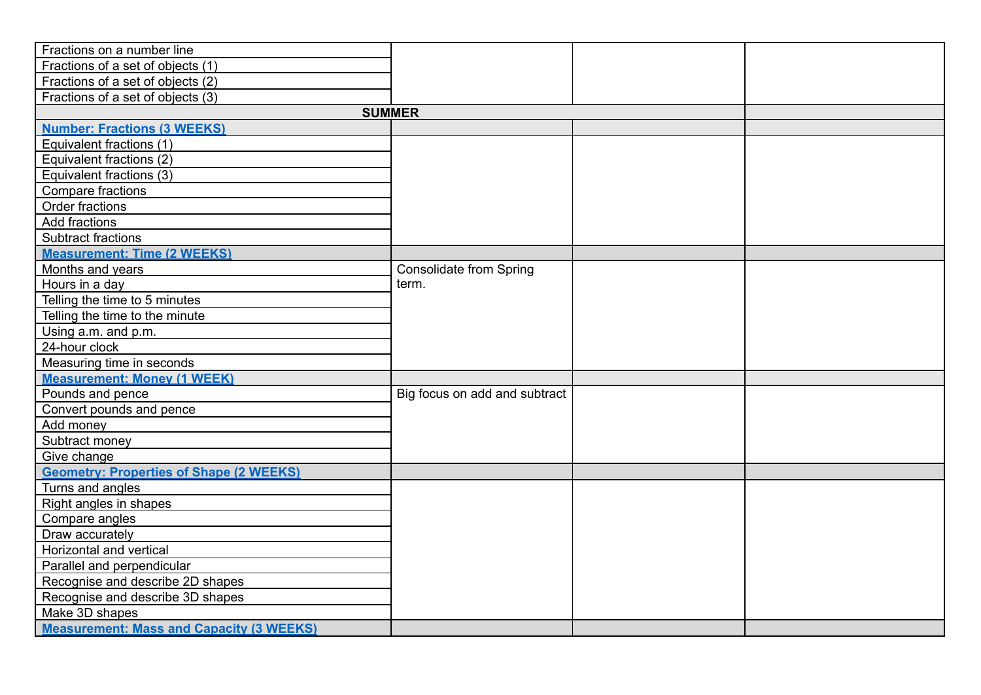| Fractions on a number line                      |                                |  |
|-------------------------------------------------|--------------------------------|--|
| Fractions of a set of objects (1)               |                                |  |
| Fractions of a set of objects (2)               |                                |  |
| Fractions of a set of objects (3)               |                                |  |
|                                                 | <b>SUMMER</b>                  |  |
| <b>Number: Fractions (3 WEEKS)</b>              |                                |  |
| Equivalent fractions (1)                        |                                |  |
| Equivalent fractions (2)                        |                                |  |
| Equivalent fractions (3)                        |                                |  |
| Compare fractions                               |                                |  |
| Order fractions                                 |                                |  |
| Add fractions                                   |                                |  |
| Subtract fractions                              |                                |  |
| <b>Measurement: Time (2 WEEKS)</b>              |                                |  |
| Months and years                                | <b>Consolidate from Spring</b> |  |
| Hours in a day                                  | term.                          |  |
| Telling the time to 5 minutes                   |                                |  |
| Telling the time to the minute                  |                                |  |
| Using a.m. and p.m.                             |                                |  |
| 24-hour clock                                   |                                |  |
| Measuring time in seconds                       |                                |  |
| <b>Measurement: Money (1 WEEK)</b>              |                                |  |
| Pounds and pence                                | Big focus on add and subtract  |  |
| Convert pounds and pence                        |                                |  |
| Add money                                       |                                |  |
| Subtract money                                  |                                |  |
| Give change                                     |                                |  |
| <b>Geometry: Properties of Shape (2 WEEKS)</b>  |                                |  |
| Turns and angles                                |                                |  |
| Right angles in shapes                          |                                |  |
| Compare angles                                  |                                |  |
| Draw accurately                                 |                                |  |
| Horizontal and vertical                         |                                |  |
| Parallel and perpendicular                      |                                |  |
| Recognise and describe 2D shapes                |                                |  |
| Recognise and describe 3D shapes                |                                |  |
| Make 3D shapes                                  |                                |  |
| <b>Measurement: Mass and Capacity (3 WEEKS)</b> |                                |  |